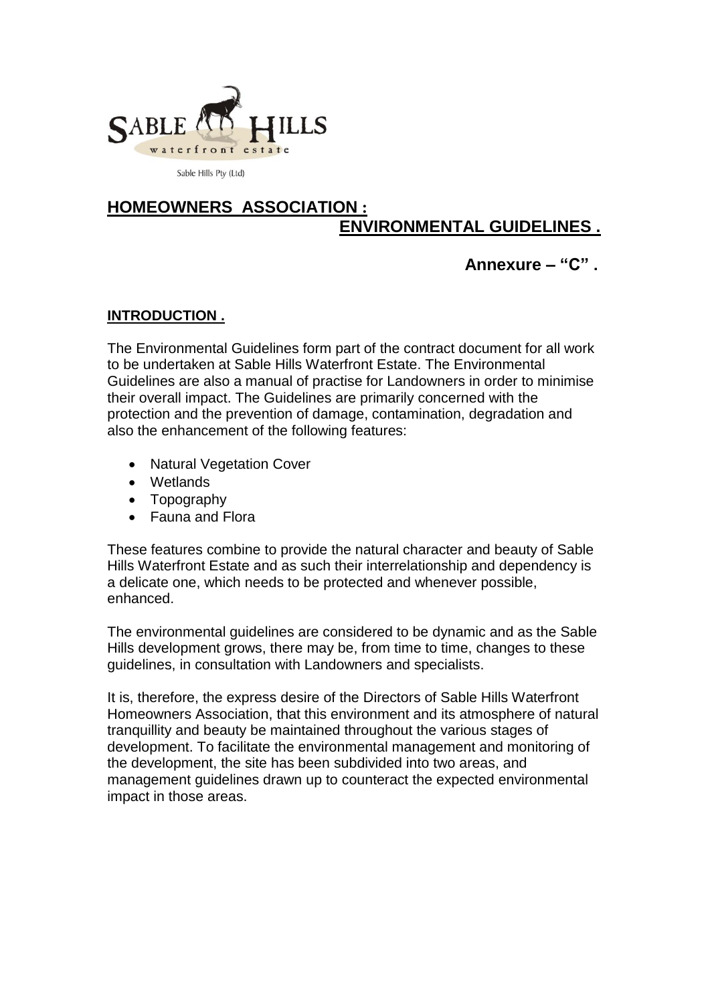

Sable Hills Pty (Ltd)

# **HOMEOWNERS ASSOCIATION : ENVIRONMENTAL GUIDELINES .**

# **Annexure – "C" .**

# **INTRODUCTION .**

The Environmental Guidelines form part of the contract document for all work to be undertaken at Sable Hills Waterfront Estate. The Environmental Guidelines are also a manual of practise for Landowners in order to minimise their overall impact. The Guidelines are primarily concerned with the protection and the prevention of damage, contamination, degradation and also the enhancement of the following features:

- Natural Vegetation Cover
- Wetlands
- Topography
- Fauna and Flora

These features combine to provide the natural character and beauty of Sable Hills Waterfront Estate and as such their interrelationship and dependency is a delicate one, which needs to be protected and whenever possible, enhanced.

The environmental guidelines are considered to be dynamic and as the Sable Hills development grows, there may be, from time to time, changes to these guidelines, in consultation with Landowners and specialists.

It is, therefore, the express desire of the Directors of Sable Hills Waterfront Homeowners Association, that this environment and its atmosphere of natural tranquillity and beauty be maintained throughout the various stages of development. To facilitate the environmental management and monitoring of the development, the site has been subdivided into two areas, and management guidelines drawn up to counteract the expected environmental impact in those areas.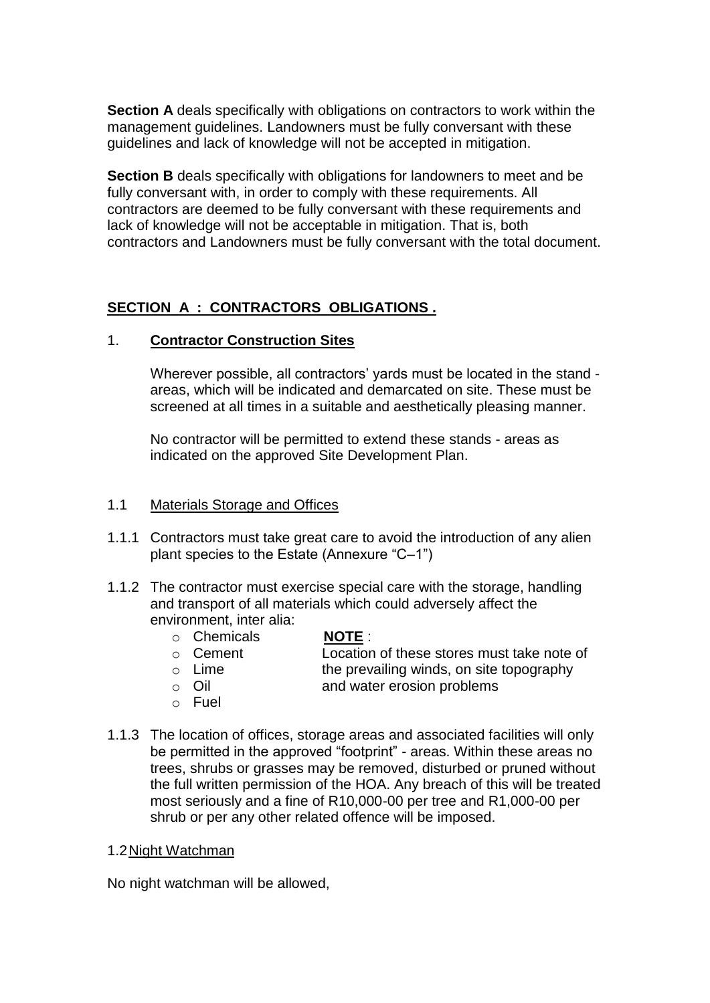**Section A** deals specifically with obligations on contractors to work within the management guidelines. Landowners must be fully conversant with these guidelines and lack of knowledge will not be accepted in mitigation.

**Section B** deals specifically with obligations for landowners to meet and be fully conversant with, in order to comply with these requirements. All contractors are deemed to be fully conversant with these requirements and lack of knowledge will not be acceptable in mitigation. That is, both contractors and Landowners must be fully conversant with the total document.

# **SECTION A : CONTRACTORS OBLIGATIONS .**

#### 1. **Contractor Construction Sites**

Wherever possible, all contractors' yards must be located in the stand areas, which will be indicated and demarcated on site. These must be screened at all times in a suitable and aesthetically pleasing manner.

No contractor will be permitted to extend these stands - areas as indicated on the approved Site Development Plan.

#### 1.1 Materials Storage and Offices

- 1.1.1 Contractors must take great care to avoid the introduction of any alien plant species to the Estate (Annexure "C–1")
- 1.1.2 The contractor must exercise special care with the storage, handling and transport of all materials which could adversely affect the environment, inter alia:
	- o Chemicals **NOTE** :

- o Cement Location of these stores must take note of
- 
- $\circ$  Lime the prevailing winds, on site topography
- o Oil and water erosion problems
- o Fuel
- 1.1.3 The location of offices, storage areas and associated facilities will only be permitted in the approved "footprint" - areas. Within these areas no trees, shrubs or grasses may be removed, disturbed or pruned without the full written permission of the HOA. Any breach of this will be treated most seriously and a fine of R10,000-00 per tree and R1,000-00 per shrub or per any other related offence will be imposed.

# 1.2Night Watchman

No night watchman will be allowed,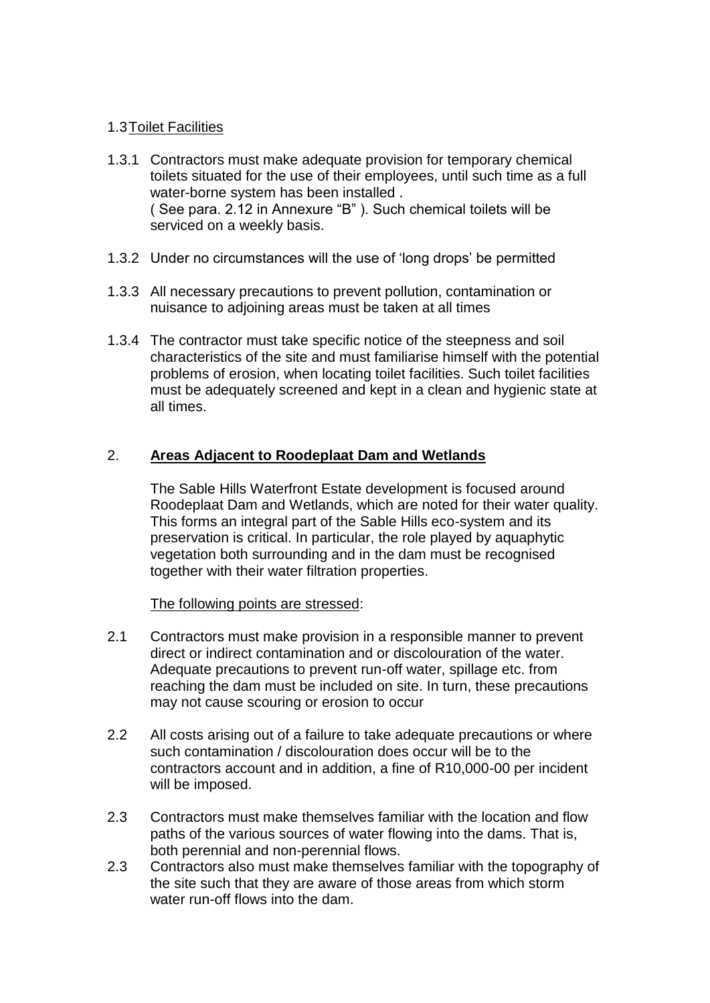### 1.3Toilet Facilities

- 1.3.1 Contractors must make adequate provision for temporary chemical toilets situated for the use of their employees, until such time as a full water-borne system has been installed . ( See para. 2.12 in Annexure "B" ). Such chemical toilets will be serviced on a weekly basis.
- 1.3.2 Under no circumstances will the use of "long drops" be permitted
- 1.3.3 All necessary precautions to prevent pollution, contamination or nuisance to adjoining areas must be taken at all times
- 1.3.4 The contractor must take specific notice of the steepness and soil characteristics of the site and must familiarise himself with the potential problems of erosion, when locating toilet facilities. Such toilet facilities must be adequately screened and kept in a clean and hygienic state at all times.

# 2. **Areas Adjacent to Roodeplaat Dam and Wetlands**

The Sable Hills Waterfront Estate development is focused around Roodeplaat Dam and Wetlands, which are noted for their water quality. This forms an integral part of the Sable Hills eco-system and its preservation is critical. In particular, the role played by aquaphytic vegetation both surrounding and in the dam must be recognised together with their water filtration properties.

#### The following points are stressed:

- 2.1 Contractors must make provision in a responsible manner to prevent direct or indirect contamination and or discolouration of the water. Adequate precautions to prevent run-off water, spillage etc. from reaching the dam must be included on site. In turn, these precautions may not cause scouring or erosion to occur
- 2.2 All costs arising out of a failure to take adequate precautions or where such contamination / discolouration does occur will be to the contractors account and in addition, a fine of R10,000-00 per incident will be imposed.
- 2.3 Contractors must make themselves familiar with the location and flow paths of the various sources of water flowing into the dams. That is, both perennial and non-perennial flows.
- 2.3 Contractors also must make themselves familiar with the topography of the site such that they are aware of those areas from which storm water run-off flows into the dam.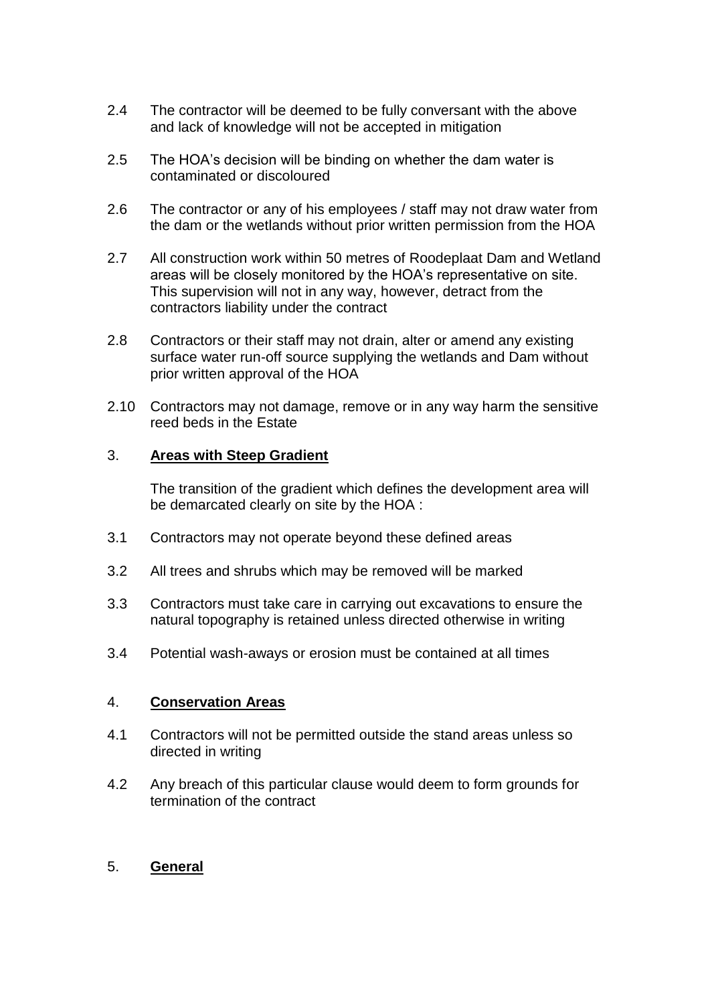- 2.4 The contractor will be deemed to be fully conversant with the above and lack of knowledge will not be accepted in mitigation
- 2.5 The HOA"s decision will be binding on whether the dam water is contaminated or discoloured
- 2.6 The contractor or any of his employees / staff may not draw water from the dam or the wetlands without prior written permission from the HOA
- 2.7 All construction work within 50 metres of Roodeplaat Dam and Wetland areas will be closely monitored by the HOA"s representative on site. This supervision will not in any way, however, detract from the contractors liability under the contract
- 2.8 Contractors or their staff may not drain, alter or amend any existing surface water run-off source supplying the wetlands and Dam without prior written approval of the HOA
- 2.10 Contractors may not damage, remove or in any way harm the sensitive reed beds in the Estate

#### 3. **Areas with Steep Gradient**

The transition of the gradient which defines the development area will be demarcated clearly on site by the HOA :

- 3.1 Contractors may not operate beyond these defined areas
- 3.2 All trees and shrubs which may be removed will be marked
- 3.3 Contractors must take care in carrying out excavations to ensure the natural topography is retained unless directed otherwise in writing
- 3.4 Potential wash-aways or erosion must be contained at all times

#### 4. **Conservation Areas**

- 4.1 Contractors will not be permitted outside the stand areas unless so directed in writing
- 4.2 Any breach of this particular clause would deem to form grounds for termination of the contract

#### 5. **General**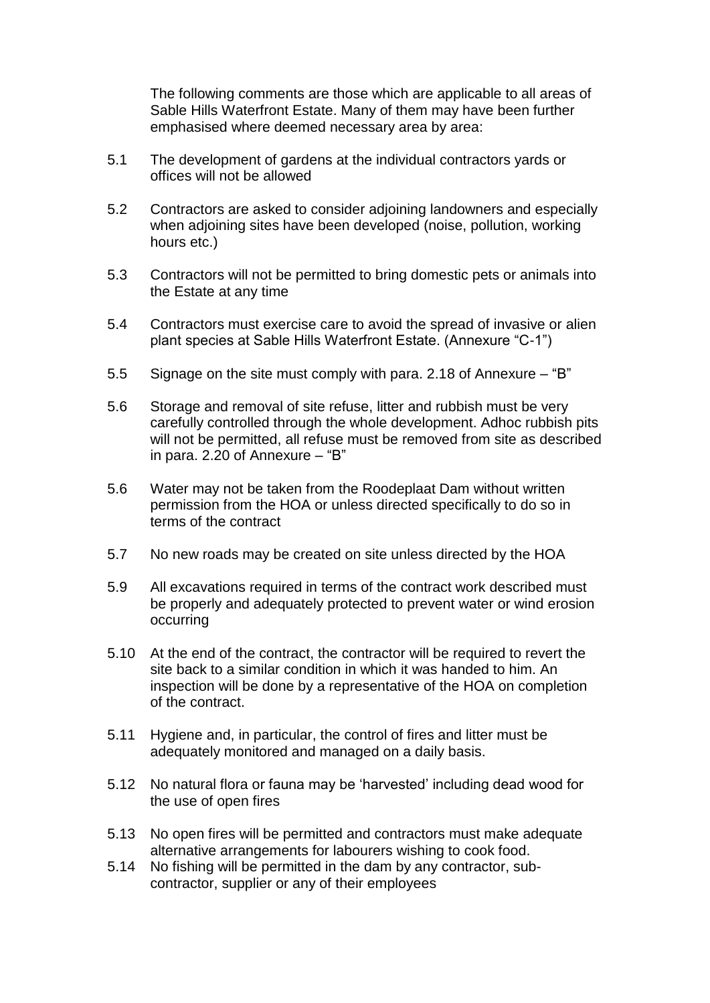The following comments are those which are applicable to all areas of Sable Hills Waterfront Estate. Many of them may have been further emphasised where deemed necessary area by area:

- 5.1 The development of gardens at the individual contractors yards or offices will not be allowed
- 5.2 Contractors are asked to consider adjoining landowners and especially when adjoining sites have been developed (noise, pollution, working hours etc.)
- 5.3 Contractors will not be permitted to bring domestic pets or animals into the Estate at any time
- 5.4 Contractors must exercise care to avoid the spread of invasive or alien plant species at Sable Hills Waterfront Estate. (Annexure "C-1")
- 5.5 Signage on the site must comply with para. 2.18 of Annexure "B"
- 5.6 Storage and removal of site refuse, litter and rubbish must be very carefully controlled through the whole development. Adhoc rubbish pits will not be permitted, all refuse must be removed from site as described in para. 2.20 of Annexure – "B"
- 5.6 Water may not be taken from the Roodeplaat Dam without written permission from the HOA or unless directed specifically to do so in terms of the contract
- 5.7 No new roads may be created on site unless directed by the HOA
- 5.9 All excavations required in terms of the contract work described must be properly and adequately protected to prevent water or wind erosion occurring
- 5.10 At the end of the contract, the contractor will be required to revert the site back to a similar condition in which it was handed to him. An inspection will be done by a representative of the HOA on completion of the contract.
- 5.11 Hygiene and, in particular, the control of fires and litter must be adequately monitored and managed on a daily basis.
- 5.12 No natural flora or fauna may be "harvested" including dead wood for the use of open fires
- 5.13 No open fires will be permitted and contractors must make adequate alternative arrangements for labourers wishing to cook food.
- 5.14 No fishing will be permitted in the dam by any contractor, subcontractor, supplier or any of their employees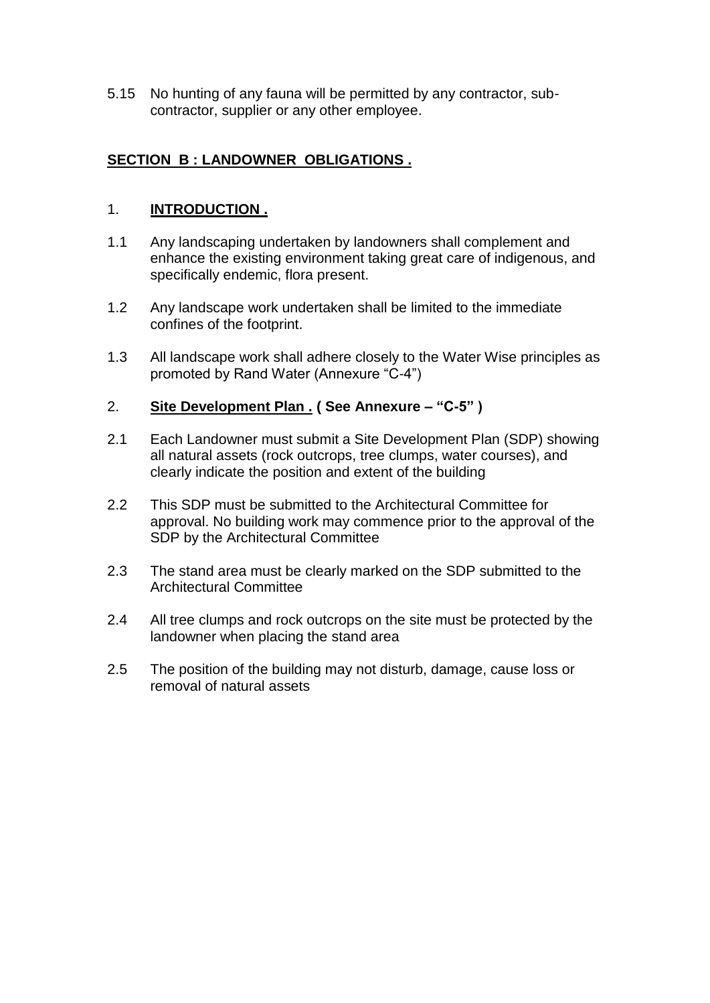5.15 No hunting of any fauna will be permitted by any contractor, subcontractor, supplier or any other employee.

# **SECTION B : LANDOWNER OBLIGATIONS .**

## 1. **INTRODUCTION .**

- 1.1 Any landscaping undertaken by landowners shall complement and enhance the existing environment taking great care of indigenous, and specifically endemic, flora present.
- 1.2 Any landscape work undertaken shall be limited to the immediate confines of the footprint.
- 1.3 All landscape work shall adhere closely to the Water Wise principles as promoted by Rand Water (Annexure "C-4")

#### 2. **Site Development Plan . ( See Annexure – "C-5" )**

- 2.1 Each Landowner must submit a Site Development Plan (SDP) showing all natural assets (rock outcrops, tree clumps, water courses), and clearly indicate the position and extent of the building
- 2.2 This SDP must be submitted to the Architectural Committee for approval. No building work may commence prior to the approval of the SDP by the Architectural Committee
- 2.3 The stand area must be clearly marked on the SDP submitted to the Architectural Committee
- 2.4 All tree clumps and rock outcrops on the site must be protected by the landowner when placing the stand area
- 2.5 The position of the building may not disturb, damage, cause loss or removal of natural assets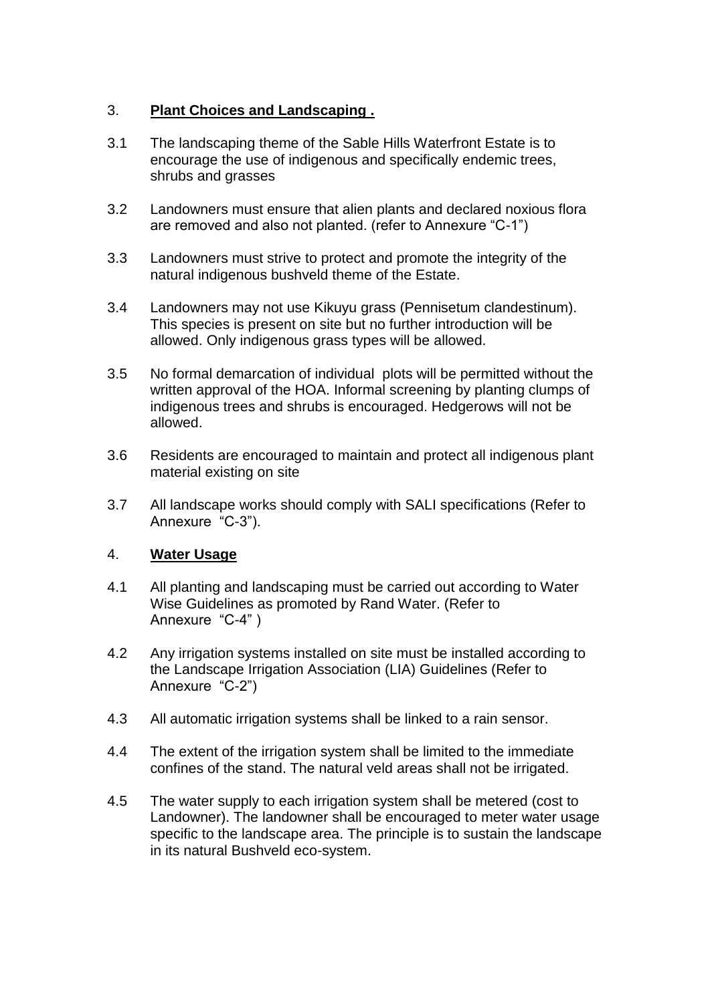## 3. **Plant Choices and Landscaping .**

- 3.1 The landscaping theme of the Sable Hills Waterfront Estate is to encourage the use of indigenous and specifically endemic trees, shrubs and grasses
- 3.2 Landowners must ensure that alien plants and declared noxious flora are removed and also not planted. (refer to Annexure "C-1")
- 3.3 Landowners must strive to protect and promote the integrity of the natural indigenous bushveld theme of the Estate.
- 3.4 Landowners may not use Kikuyu grass (Pennisetum clandestinum). This species is present on site but no further introduction will be allowed. Only indigenous grass types will be allowed.
- 3.5 No formal demarcation of individual plots will be permitted without the written approval of the HOA. Informal screening by planting clumps of indigenous trees and shrubs is encouraged. Hedgerows will not be allowed.
- 3.6 Residents are encouraged to maintain and protect all indigenous plant material existing on site
- 3.7 All landscape works should comply with SALI specifications (Refer to Annexure "C-3").

#### 4. **Water Usage**

- 4.1 All planting and landscaping must be carried out according to Water Wise Guidelines as promoted by Rand Water. (Refer to Annexure "C-4" )
- 4.2 Any irrigation systems installed on site must be installed according to the Landscape Irrigation Association (LIA) Guidelines (Refer to Annexure "C-2")
- 4.3 All automatic irrigation systems shall be linked to a rain sensor.
- 4.4 The extent of the irrigation system shall be limited to the immediate confines of the stand. The natural veld areas shall not be irrigated.
- 4.5 The water supply to each irrigation system shall be metered (cost to Landowner). The landowner shall be encouraged to meter water usage specific to the landscape area. The principle is to sustain the landscape in its natural Bushveld eco-system.